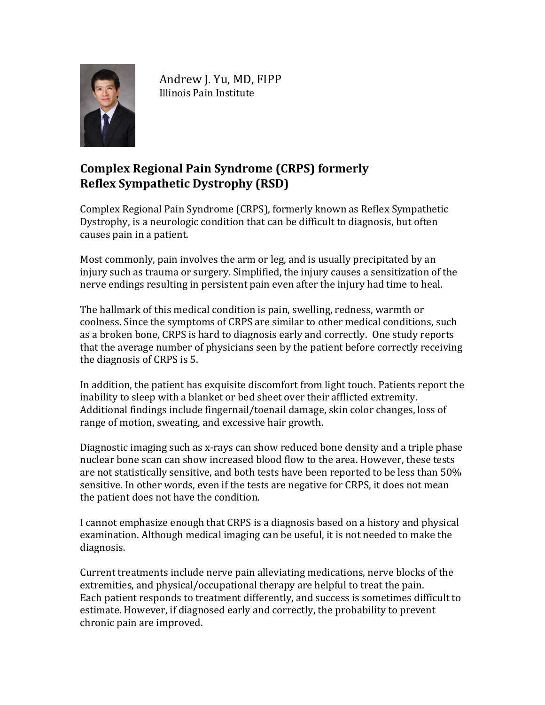

Andrew J. Yu, MD, FIPP Illinois Pain Institute

## **Complex Regional Pain Syndrome (CRPS) formerly Reflex Sympathetic Dystrophy (RSD)**

Complex Regional Pain Syndrome (CRPS), formerly known as Reflex Sympathetic Dystrophy, is a neurologic condition that can be difficult to diagnosis, but often causes pain in a patient.

Most commonly, pain involves the arm or leg, and is usually precipitated by an injury such as trauma or surgery. Simplified, the injury causes a sensitization of the nerve endings resulting in persistent pain even after the injury had time to heal.

The hallmark of this medical condition is pain, swelling, redness, warmth or coolness. Since the symptoms of CRPS are similar to other medical conditions, such as a broken bone, CRPS is hard to diagnosis early and correctly. One study reports that the average number of physicians seen by the patient before correctly receiving the diagnosis of CRPS is 5.

In addition, the patient has exquisite discomfort from light touch. Patients report the inability to sleep with a blanket or bed sheet over their afflicted extremity. Additional findings include fingernail/toenail damage, skin color changes, loss of range of motion, sweating, and excessive hair growth.

Diagnostic imaging such as x-rays can show reduced bone density and a triple phase nuclear bone scan can show increased blood flow to the area. However, these tests are not statistically sensitive, and both tests have been reported to be less than 50% sensitive. In other words, even if the tests are negative for CRPS, it does not mean the patient does not have the condition.

I cannot emphasize enough that CRPS is a diagnosis based on a history and physical examination. Although medical imaging can be useful, it is not needed to make the diagnosis.

Current treatments include nerve pain alleviating medications, nerve blocks of the extremities, and physical/occupational therapy are helpful to treat the pain. Each patient responds to treatment differently, and success is sometimes difficult to estimate. However, if diagnosed early and correctly, the probability to prevent chronic pain are improved.